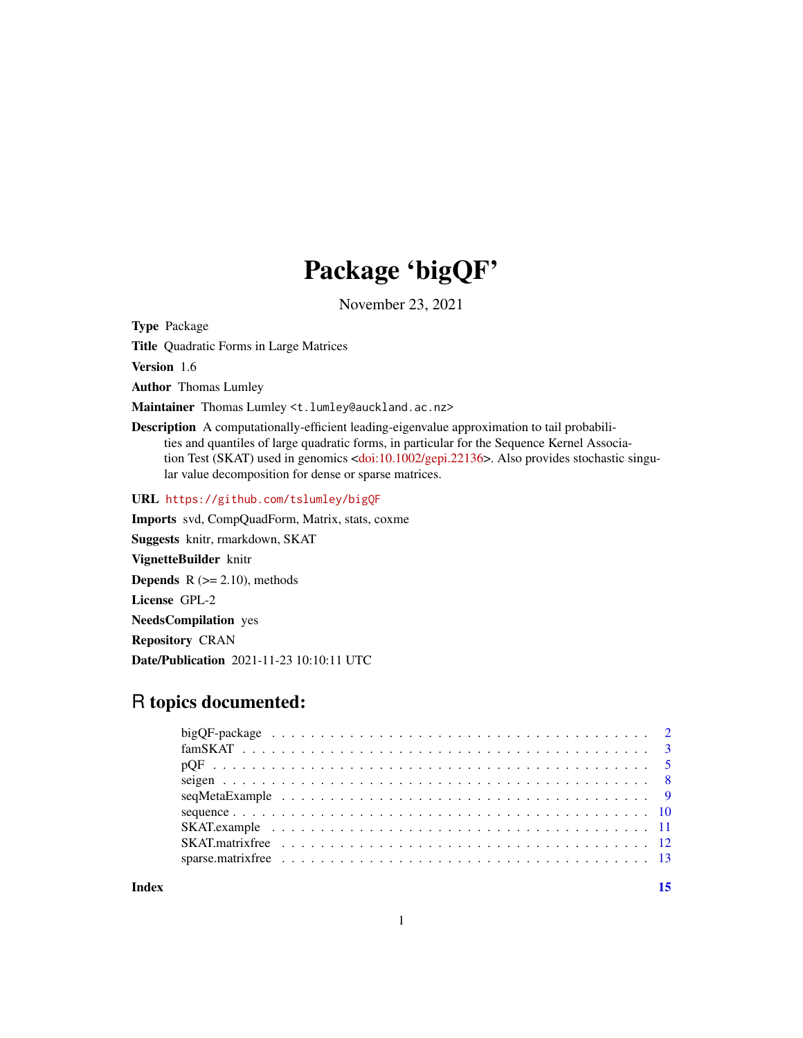## Package 'bigQF'

November 23, 2021

<span id="page-0-0"></span>Type Package

Title Quadratic Forms in Large Matrices

Version 1.6

Author Thomas Lumley

Maintainer Thomas Lumley <t.lumley@auckland.ac.nz>

Description A computationally-efficient leading-eigenvalue approximation to tail probabilities and quantiles of large quadratic forms, in particular for the Sequence Kernel Associa-tion Test (SKAT) used in genomics [<doi:10.1002/gepi.22136>](https://doi.org/10.1002/gepi.22136). Also provides stochastic singular value decomposition for dense or sparse matrices.

URL <https://github.com/tslumley/bigQF>

Imports svd, CompQuadForm, Matrix, stats, coxme Suggests knitr, rmarkdown, SKAT

VignetteBuilder knitr

**Depends**  $R$  ( $>= 2.10$ ), methods

License GPL-2

NeedsCompilation yes

Repository CRAN

Date/Publication 2021-11-23 10:10:11 UTC

## R topics documented:

**Index** [15](#page-14-0)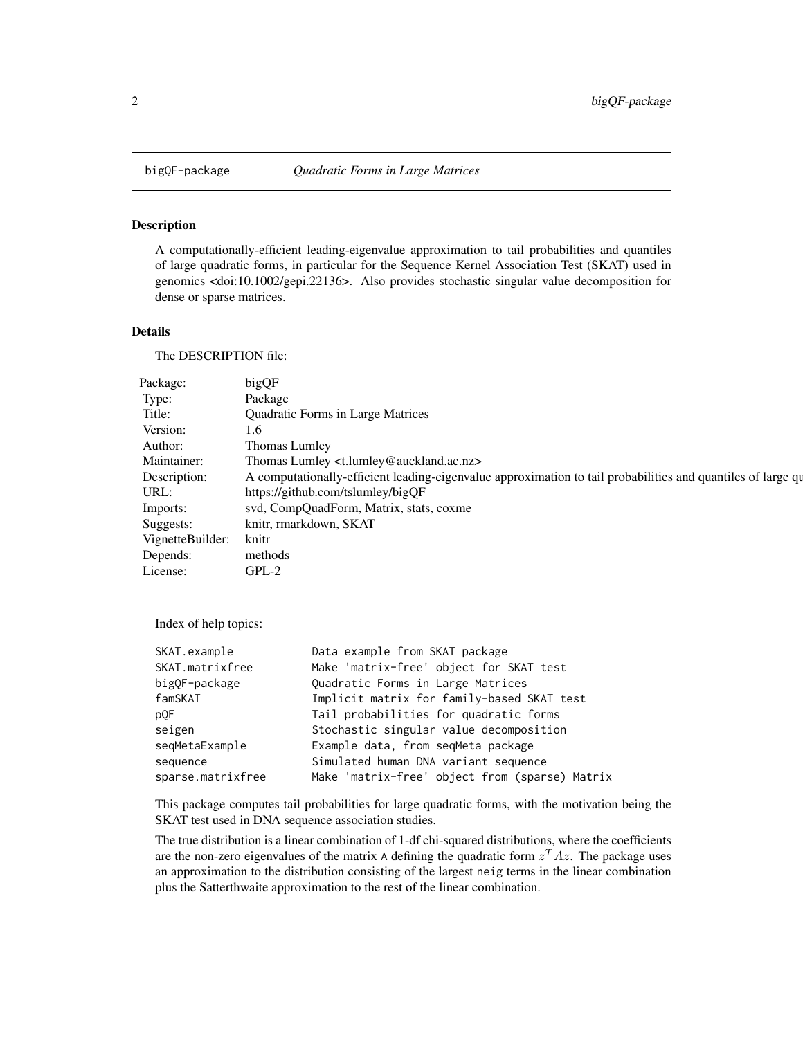<span id="page-1-0"></span>

A computationally-efficient leading-eigenvalue approximation to tail probabilities and quantiles of large quadratic forms, in particular for the Sequence Kernel Association Test (SKAT) used in genomics <doi:10.1002/gepi.22136>. Also provides stochastic singular value decomposition for dense or sparse matrices.

## Details

The DESCRIPTION file:

| Package:               | bigQF                                                                                                        |
|------------------------|--------------------------------------------------------------------------------------------------------------|
| Type:                  | Package                                                                                                      |
| Title:                 | <b>Quadratic Forms in Large Matrices</b>                                                                     |
| Version:               | 1.6                                                                                                          |
| Author:                | Thomas Lumley                                                                                                |
| Maintainer:            | Thomas Lumley <t.lumley@auckland.ac.nz></t.lumley@auckland.ac.nz>                                            |
| Description:           | A computationally-efficient leading-eigenvalue approximation to tail probabilities and quantiles of large qu |
| URL:                   | https://github.com/tslumley/bigQF                                                                            |
| Imports:               | svd, CompQuadForm, Matrix, stats, coxme                                                                      |
| Suggests:              | knitr, rmarkdown, SKAT                                                                                       |
| VignetteBuilder: knitr |                                                                                                              |
| Depends:               | methods                                                                                                      |
| License:               | $GPL-2$                                                                                                      |

Index of help topics:

| SKAT.example      | Data example from SKAT package                 |
|-------------------|------------------------------------------------|
| SKAT.matrixfree   | Make 'matrix-free' object for SKAT test        |
| bigOF-package     | Quadratic Forms in Large Matrices              |
| famSKAT           | Implicit matrix for family-based SKAT test     |
| pQF               | Tail probabilities for quadratic forms         |
| seigen            | Stochastic singular value decomposition        |
| seqMetaExample    | Example data, from seqMeta package             |
| sequence          | Simulated human DNA variant sequence           |
| sparse.matrixfree | Make 'matrix-free' object from (sparse) Matrix |
|                   |                                                |

This package computes tail probabilities for large quadratic forms, with the motivation being the SKAT test used in DNA sequence association studies.

The true distribution is a linear combination of 1-df chi-squared distributions, where the coefficients are the non-zero eigenvalues of the matrix A defining the quadratic form  $z^T A z$ . The package uses an approximation to the distribution consisting of the largest neig terms in the linear combination plus the Satterthwaite approximation to the rest of the linear combination.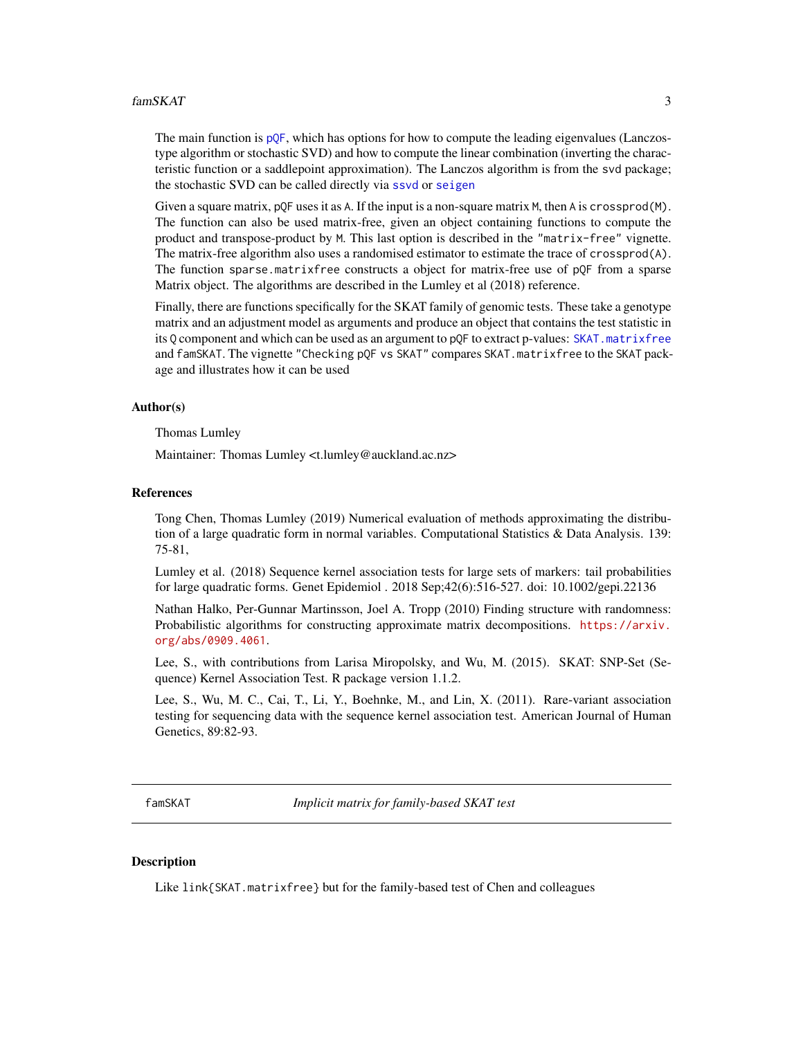#### <span id="page-2-0"></span>famSKAT 3

The main function is  $pQF$ , which has options for how to compute the leading eigenvalues (Lanczostype algorithm or stochastic SVD) and how to compute the linear combination (inverting the characteristic function or a saddlepoint approximation). The Lanczos algorithm is from the svd package; the stochastic SVD can be called directly via [ssvd](#page-7-1) or [seigen](#page-7-2)

Given a square matrix,  $pQF$  uses it as A. If the input is a non-square matrix M, then A is crossprod(M). The function can also be used matrix-free, given an object containing functions to compute the product and transpose-product by M. This last option is described in the "matrix-free" vignette. The matrix-free algorithm also uses a randomised estimator to estimate the trace of crossprod(A). The function sparse.matrixfree constructs a object for matrix-free use of pQF from a sparse Matrix object. The algorithms are described in the Lumley et al (2018) reference.

Finally, there are functions specifically for the SKAT family of genomic tests. These take a genotype matrix and an adjustment model as arguments and produce an object that contains the test statistic in its Q component and which can be used as an argument to pQF to extract p-values: [SKAT.matrixfree](#page-11-1) and famSKAT. The vignette "Checking pQF vs SKAT" compares SKAT.matrixfree to the SKAT package and illustrates how it can be used

#### Author(s)

Thomas Lumley

Maintainer: Thomas Lumley <t.lumley@auckland.ac.nz>

#### References

Tong Chen, Thomas Lumley (2019) Numerical evaluation of methods approximating the distribution of a large quadratic form in normal variables. Computational Statistics & Data Analysis. 139: 75-81,

Lumley et al. (2018) Sequence kernel association tests for large sets of markers: tail probabilities for large quadratic forms. Genet Epidemiol . 2018 Sep;42(6):516-527. doi: 10.1002/gepi.22136

Nathan Halko, Per-Gunnar Martinsson, Joel A. Tropp (2010) Finding structure with randomness: Probabilistic algorithms for constructing approximate matrix decompositions. [https://arxiv.](https://arxiv.org/abs/0909.4061) [org/abs/0909.4061](https://arxiv.org/abs/0909.4061).

Lee, S., with contributions from Larisa Miropolsky, and Wu, M. (2015). SKAT: SNP-Set (Sequence) Kernel Association Test. R package version 1.1.2.

Lee, S., Wu, M. C., Cai, T., Li, Y., Boehnke, M., and Lin, X. (2011). Rare-variant association testing for sequencing data with the sequence kernel association test. American Journal of Human Genetics, 89:82-93.

<span id="page-2-1"></span>famSKAT *Implicit matrix for family-based SKAT test*

#### **Description**

Like link{SKAT.matrixfree} but for the family-based test of Chen and colleagues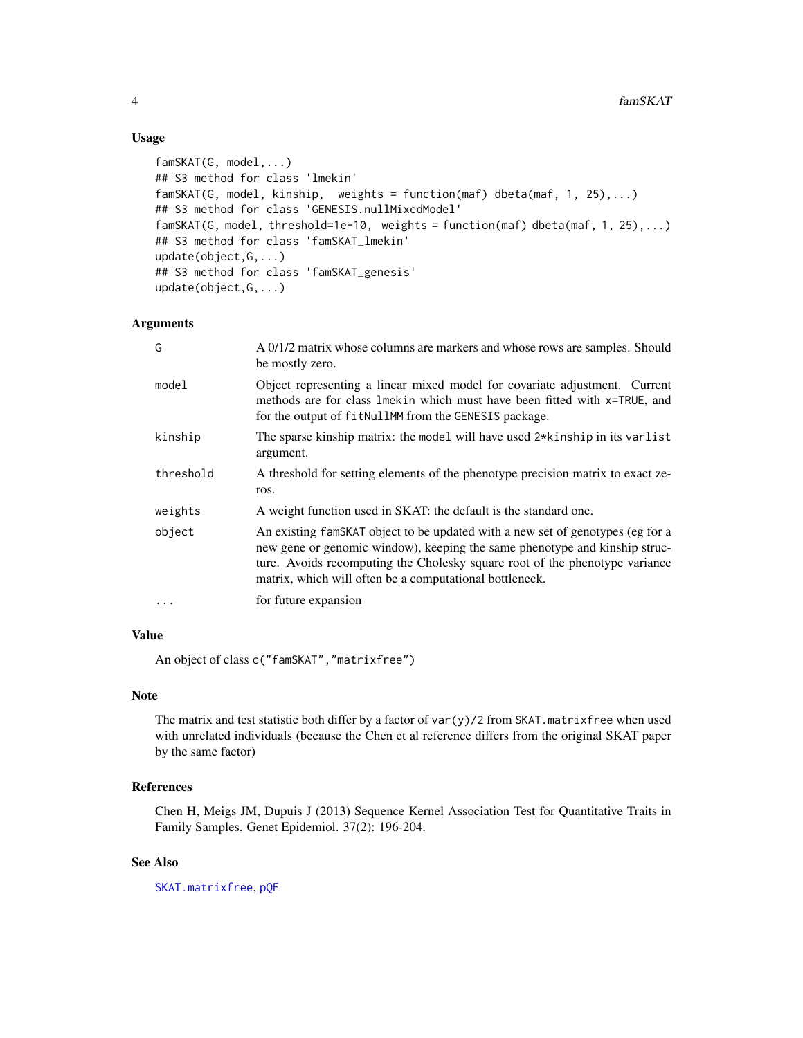## Usage

```
famSKAT(G, model,...)
## S3 method for class 'lmekin'
famSKAT(G, model, kinship, weights = function(maf) dbeta(maf, 1, 25),...)
## S3 method for class 'GENESIS.nullMixedModel'
famSKAT(G, model, threshold=1e-10, weights = function(maf) dbeta(maf, 1, 25),...)
## S3 method for class 'famSKAT_lmekin'
update(object,G,...)
## S3 method for class 'famSKAT_genesis'
update(object,G,...)
```
## Arguments

| G         | A 0/1/2 matrix whose columns are markers and whose rows are samples. Should<br>be mostly zero.                                                                                                                                                                                                         |
|-----------|--------------------------------------------------------------------------------------------------------------------------------------------------------------------------------------------------------------------------------------------------------------------------------------------------------|
| model     | Object representing a linear mixed model for covariate adjustment. Current<br>methods are for class lmekin which must have been fitted with x=TRUE, and<br>for the output of fitNullMM from the GENESIS package.                                                                                       |
| kinship   | The sparse kinship matrix: the model will have used 2*kinship in its varlist<br>argument.                                                                                                                                                                                                              |
| threshold | A threshold for setting elements of the phenotype precision matrix to exact ze-<br>ros.                                                                                                                                                                                                                |
| weights   | A weight function used in SKAT: the default is the standard one.                                                                                                                                                                                                                                       |
| object    | An existing famSKAT object to be updated with a new set of genotypes (eg for a<br>new gene or genomic window), keeping the same phenotype and kinship struc-<br>ture. Avoids recomputing the Cholesky square root of the phenotype variance<br>matrix, which will often be a computational bottleneck. |
| $\cdots$  | for future expansion                                                                                                                                                                                                                                                                                   |

## Value

An object of class c("famSKAT","matrixfree")

### Note

The matrix and test statistic both differ by a factor of var(y)/2 from SKAT.matrixfree when used with unrelated individuals (because the Chen et al reference differs from the original SKAT paper by the same factor)

## References

Chen H, Meigs JM, Dupuis J (2013) Sequence Kernel Association Test for Quantitative Traits in Family Samples. Genet Epidemiol. 37(2): 196-204.

## See Also

[SKAT.matrixfree](#page-11-1), [pQF](#page-4-1)

<span id="page-3-0"></span>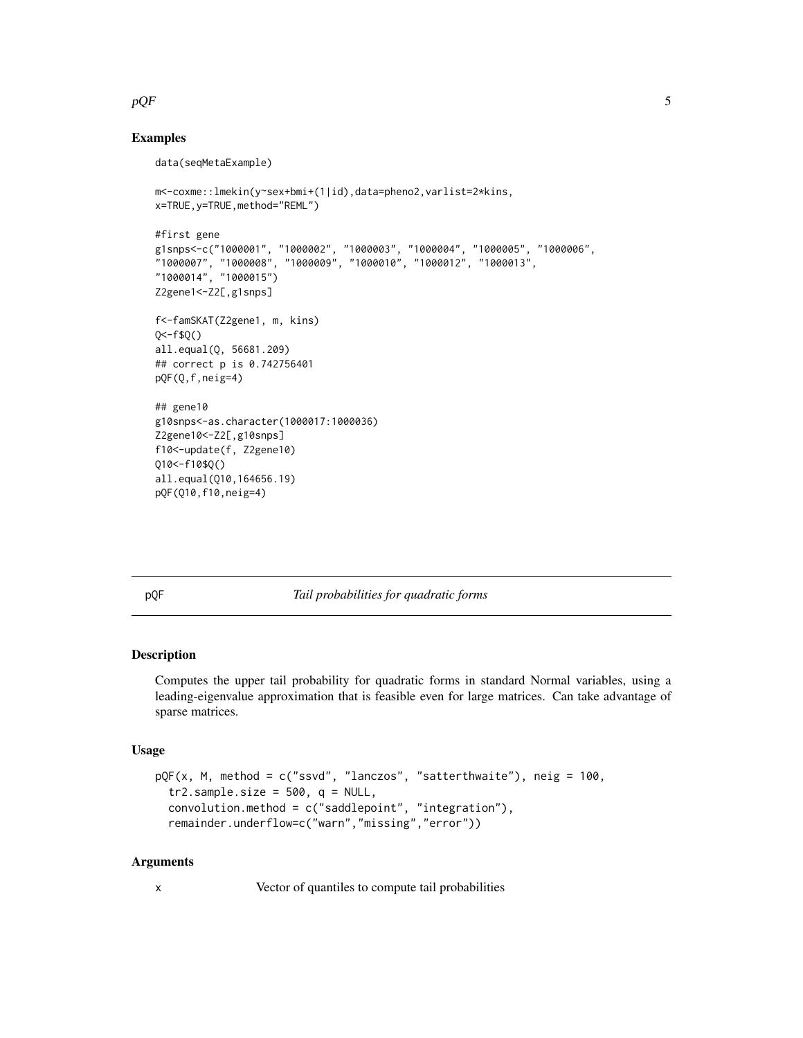### <span id="page-4-0"></span> $pQF$  5

## Examples

```
data(seqMetaExample)
m<-coxme::lmekin(y~sex+bmi+(1|id),data=pheno2,varlist=2*kins,
x=TRUE,y=TRUE,method="REML")
#first gene
g1snps<-c("1000001", "1000002", "1000003", "1000004", "1000005", "1000006",
"1000007", "1000008", "1000009", "1000010", "1000012", "1000013",
"1000014", "1000015")
Z2gene1<-Z2[,g1snps]
f<-famSKAT(Z2gene1, m, kins)
Q < -f$Q()
all.equal(Q, 56681.209)
## correct p is 0.742756401
pQF(Q,f,neig=4)
## gene10
g10snps<-as.character(1000017:1000036)
Z2gene10<-Z2[,g10snps]
f10<-update(f, Z2gene10)
Q10<-f10$Q()
all.equal(Q10,164656.19)
pQF(Q10,f10,neig=4)
```
<span id="page-4-1"></span>pQF *Tail probabilities for quadratic forms*

#### Description

Computes the upper tail probability for quadratic forms in standard Normal variables, using a leading-eigenvalue approximation that is feasible even for large matrices. Can take advantage of sparse matrices.

#### Usage

```
pQF(x, M, method = c("ssvd", "lanczos", "satterthwaite"), neig = 100,
  tr2.sample.size = 500, q = NULL,
  convolution.method = c("saddlepoint", "integration"),
  remainder.underflow=c("warn","missing","error"))
```
#### Arguments

x Vector of quantiles to compute tail probabilities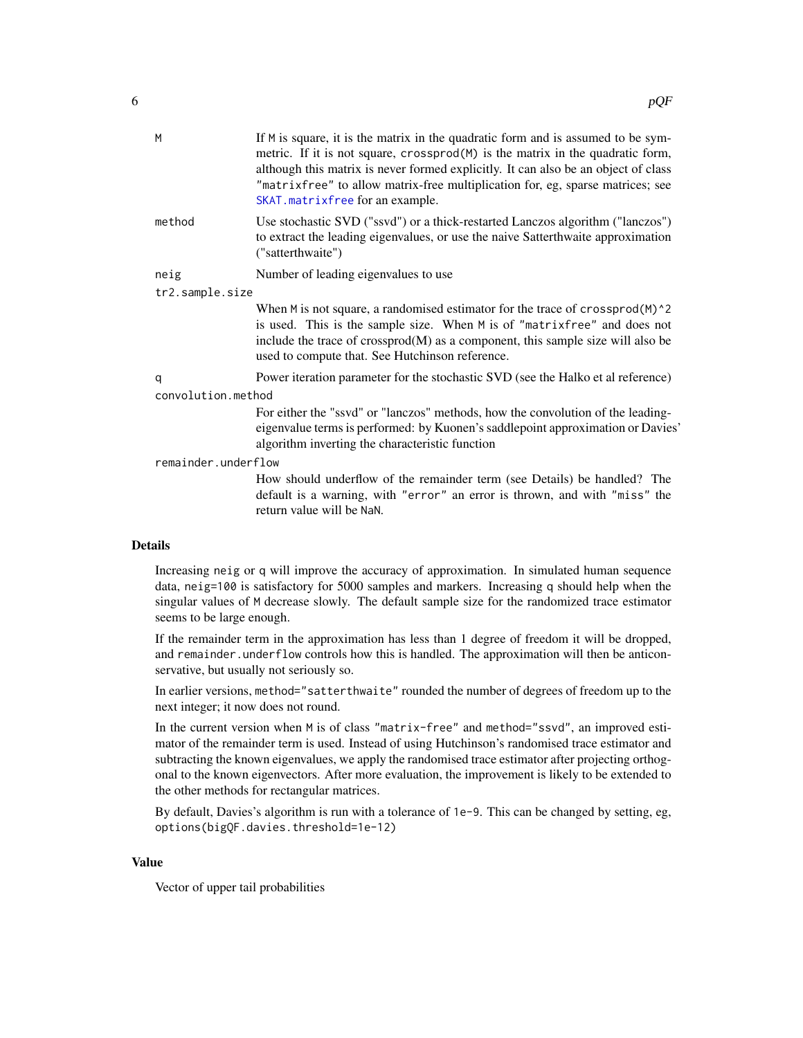<span id="page-5-0"></span>

| M                   | If M is square, it is the matrix in the quadratic form and is assumed to be sym-<br>metric. If it is not square, crossprod(M) is the matrix in the quadratic form,<br>although this matrix is never formed explicitly. It can also be an object of class<br>"matrixfree" to allow matrix-free multiplication for, eg, sparse matrices; see<br>SKAT.matrixfree for an example. |
|---------------------|-------------------------------------------------------------------------------------------------------------------------------------------------------------------------------------------------------------------------------------------------------------------------------------------------------------------------------------------------------------------------------|
| method              | Use stochastic SVD ("ssvd") or a thick-restarted Lanczos algorithm ("lanczos")<br>to extract the leading eigenvalues, or use the naive Satterthwaite approximation<br>("satterthwaite")                                                                                                                                                                                       |
| neig                | Number of leading eigenvalues to use                                                                                                                                                                                                                                                                                                                                          |
| tr2.sample.size     |                                                                                                                                                                                                                                                                                                                                                                               |
|                     | When $M$ is not square, a randomised estimator for the trace of crossprod $(M)$ <sup>^2</sup><br>is used. This is the sample size. When M is of "matrixfree" and does not<br>include the trace of crossprod(M) as a component, this sample size will also be<br>used to compute that. See Hutchinson reference.                                                               |
| q                   | Power iteration parameter for the stochastic SVD (see the Halko et al reference)                                                                                                                                                                                                                                                                                              |
| convolution.method  |                                                                                                                                                                                                                                                                                                                                                                               |
|                     | For either the "ssvd" or "lanczos" methods, how the convolution of the leading-<br>eigenvalue terms is performed: by Kuonen's saddlepoint approximation or Davies'<br>algorithm inverting the characteristic function                                                                                                                                                         |
| remainder.underflow |                                                                                                                                                                                                                                                                                                                                                                               |
|                     | How should underflow of the remainder term (see Details) be handled? The<br>default is a warning, with "error" an error is thrown, and with "miss" the<br>return value will be NaN.                                                                                                                                                                                           |
| ails                |                                                                                                                                                                                                                                                                                                                                                                               |

#### Deta

Increasing neig or q will improve the accuracy of approximation. In simulated human sequence data, neig=100 is satisfactory for 5000 samples and markers. Increasing q should help when the singular values of M decrease slowly. The default sample size for the randomized trace estimator seems to be large enough.

If the remainder term in the approximation has less than 1 degree of freedom it will be dropped, and remainder.underflow controls how this is handled. The approximation will then be anticonservative, but usually not seriously so.

In earlier versions, method="satterthwaite" rounded the number of degrees of freedom up to the next integer; it now does not round.

In the current version when M is of class "matrix-free" and method="ssvd", an improved estimator of the remainder term is used. Instead of using Hutchinson's randomised trace estimator and subtracting the known eigenvalues, we apply the randomised trace estimator after projecting orthogonal to the known eigenvectors. After more evaluation, the improvement is likely to be extended to the other methods for rectangular matrices.

By default, Davies's algorithm is run with a tolerance of 1e-9. This can be changed by setting, eg, options(bigQF.davies.threshold=1e-12)

#### Value

Vector of upper tail probabilities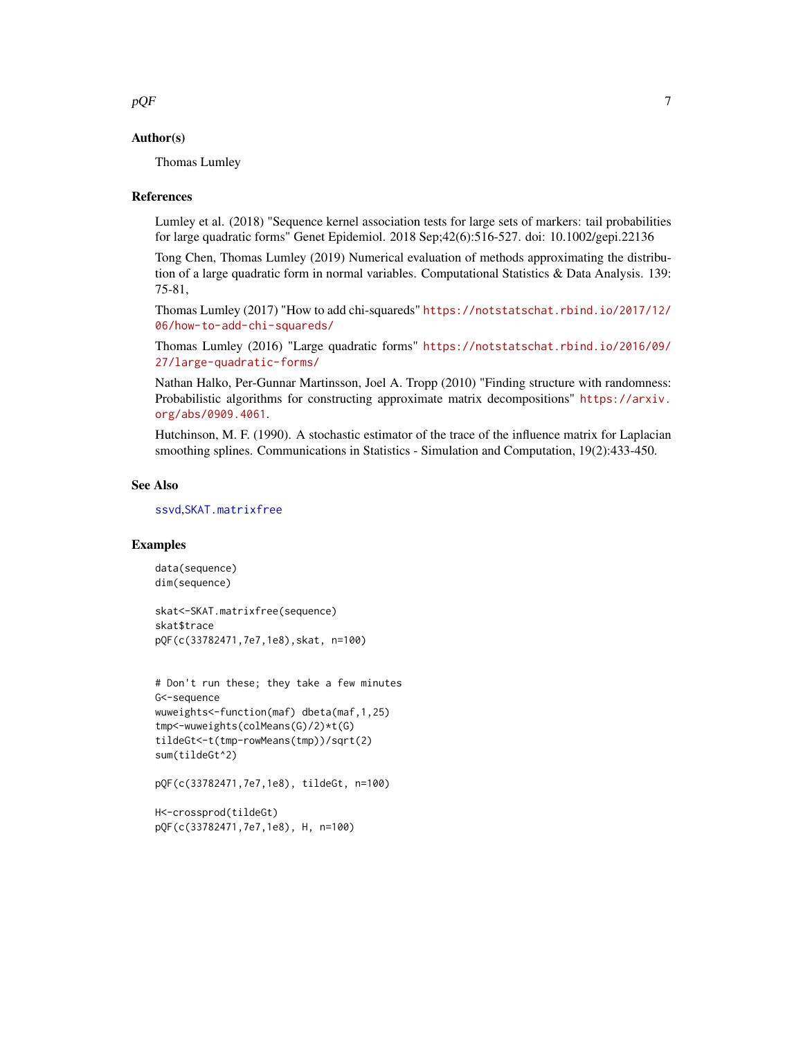<span id="page-6-0"></span> $pQF$  7

#### Author(s)

Thomas Lumley

#### References

Lumley et al. (2018) "Sequence kernel association tests for large sets of markers: tail probabilities for large quadratic forms" Genet Epidemiol. 2018 Sep;42(6):516-527. doi: 10.1002/gepi.22136

Tong Chen, Thomas Lumley (2019) Numerical evaluation of methods approximating the distribution of a large quadratic form in normal variables. Computational Statistics & Data Analysis. 139: 75-81,

Thomas Lumley (2017) "How to add chi-squareds" [https://notstatschat.rbind.io/2017/12/](https://notstatschat.rbind.io/2017/12/06/how-to-add-chi-squareds/) [06/how-to-add-chi-squareds/](https://notstatschat.rbind.io/2017/12/06/how-to-add-chi-squareds/)

Thomas Lumley (2016) "Large quadratic forms" [https://notstatschat.rbind.io/2016/09/](https://notstatschat.rbind.io/2016/09/27/large-quadratic-forms/) [27/large-quadratic-forms/](https://notstatschat.rbind.io/2016/09/27/large-quadratic-forms/)

Nathan Halko, Per-Gunnar Martinsson, Joel A. Tropp (2010) "Finding structure with randomness: Probabilistic algorithms for constructing approximate matrix decompositions" [https://arxiv.](https://arxiv.org/abs/0909.4061) [org/abs/0909.4061](https://arxiv.org/abs/0909.4061).

Hutchinson, M. F. (1990). A stochastic estimator of the trace of the influence matrix for Laplacian smoothing splines. Communications in Statistics - Simulation and Computation, 19(2):433-450.

#### See Also

```
ssvd,SKAT.matrixfree
```
#### Examples

```
data(sequence)
dim(sequence)
```
skat<-SKAT.matrixfree(sequence) skat\$trace pQF(c(33782471,7e7,1e8),skat, n=100)

```
# Don't run these; they take a few minutes
G<-sequence
wuweights<-function(maf) dbeta(maf,1,25)
tmp<-wuweights(colMeans(G)/2)*t(G)
tildeGt<-t(tmp-rowMeans(tmp))/sqrt(2)
sum(tildeGt^2)
```

```
pQF(c(33782471,7e7,1e8), tildeGt, n=100)
```

```
H<-crossprod(tildeGt)
pQF(c(33782471,7e7,1e8), H, n=100)
```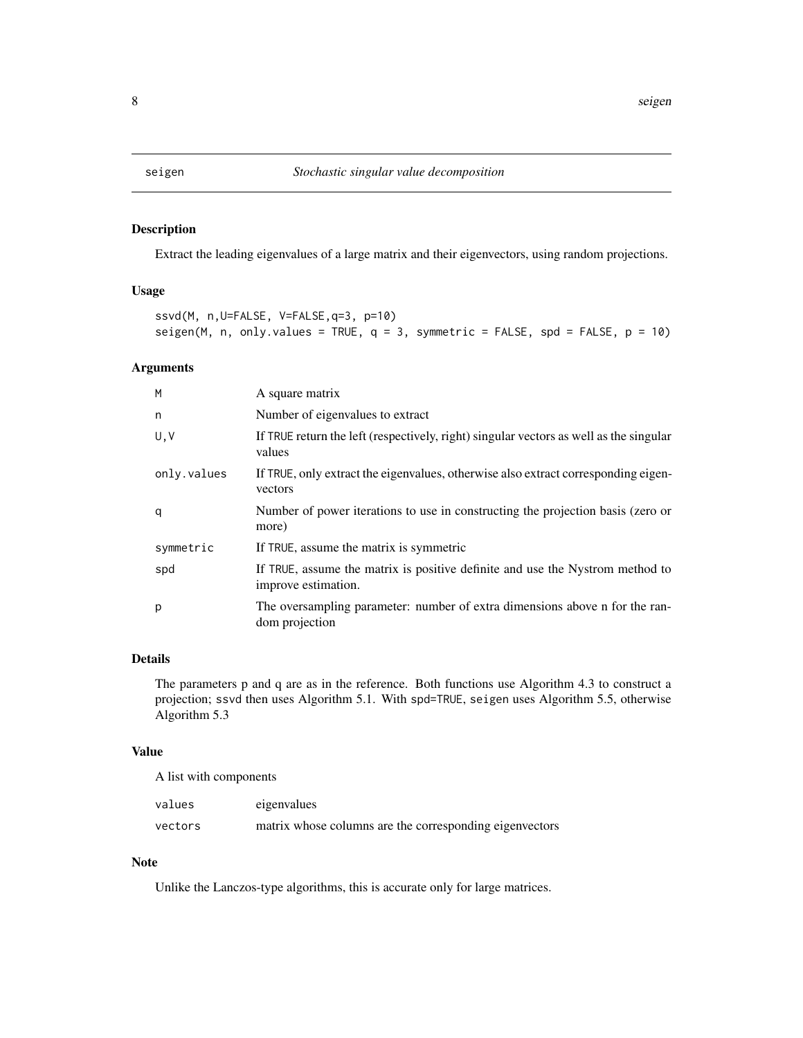<span id="page-7-2"></span><span id="page-7-1"></span><span id="page-7-0"></span>

Extract the leading eigenvalues of a large matrix and their eigenvectors, using random projections.

### Usage

```
ssvd(M, n,U=FALSE, V=FALSE,q=3, p=10)
seigen(M, n, only.values = TRUE, q = 3, symmetric = FALSE, spd = FALSE, p = 10)
```
## Arguments

| M           | A square matrix                                                                                      |
|-------------|------------------------------------------------------------------------------------------------------|
| n           | Number of eigenvalues to extract                                                                     |
| U, V        | If TRUE return the left (respectively, right) singular vectors as well as the singular<br>values     |
| only.values | If TRUE, only extract the eigenvalues, otherwise also extract corresponding eigen-<br>vectors        |
| q           | Number of power iterations to use in constructing the projection basis (zero or<br>more)             |
| symmetric   | If TRUE, assume the matrix is symmetric                                                              |
| spd         | If TRUE, assume the matrix is positive definite and use the Nystrom method to<br>improve estimation. |
| p           | The oversampling parameter: number of extra dimensions above n for the ran-<br>dom projection        |

## Details

The parameters p and q are as in the reference. Both functions use Algorithm 4.3 to construct a projection; ssvd then uses Algorithm 5.1. With spd=TRUE, seigen uses Algorithm 5.5, otherwise Algorithm 5.3

## Value

A list with components

| values  | eigenvalues                                             |
|---------|---------------------------------------------------------|
| vectors | matrix whose columns are the corresponding eigenvectors |

## Note

Unlike the Lanczos-type algorithms, this is accurate only for large matrices.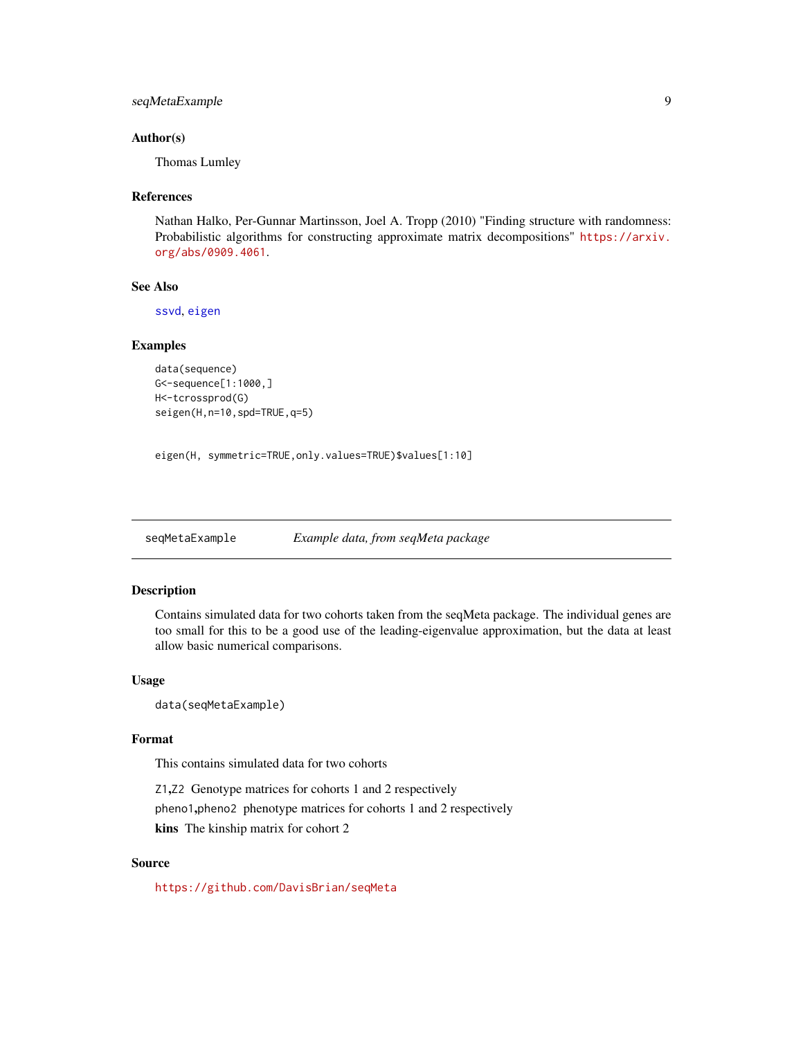## <span id="page-8-0"></span>seqMetaExample 9

#### Author(s)

Thomas Lumley

#### References

Nathan Halko, Per-Gunnar Martinsson, Joel A. Tropp (2010) "Finding structure with randomness: Probabilistic algorithms for constructing approximate matrix decompositions" [https://arxiv.](https://arxiv.org/abs/0909.4061) [org/abs/0909.4061](https://arxiv.org/abs/0909.4061).

#### See Also

[ssvd](#page-7-1), [eigen](#page-0-0)

## Examples

```
data(sequence)
G<-sequence[1:1000,]
H<-tcrossprod(G)
seigen(H,n=10,spd=TRUE,q=5)
```
eigen(H, symmetric=TRUE,only.values=TRUE)\$values[1:10]

seqMetaExample *Example data, from seqMeta package*

## Description

Contains simulated data for two cohorts taken from the seqMeta package. The individual genes are too small for this to be a good use of the leading-eigenvalue approximation, but the data at least allow basic numerical comparisons.

#### Usage

data(seqMetaExample)

#### Format

This contains simulated data for two cohorts

Z1,Z2 Genotype matrices for cohorts 1 and 2 respectively pheno1,pheno2 phenotype matrices for cohorts 1 and 2 respectively kins The kinship matrix for cohort 2

## Source

<https://github.com/DavisBrian/seqMeta>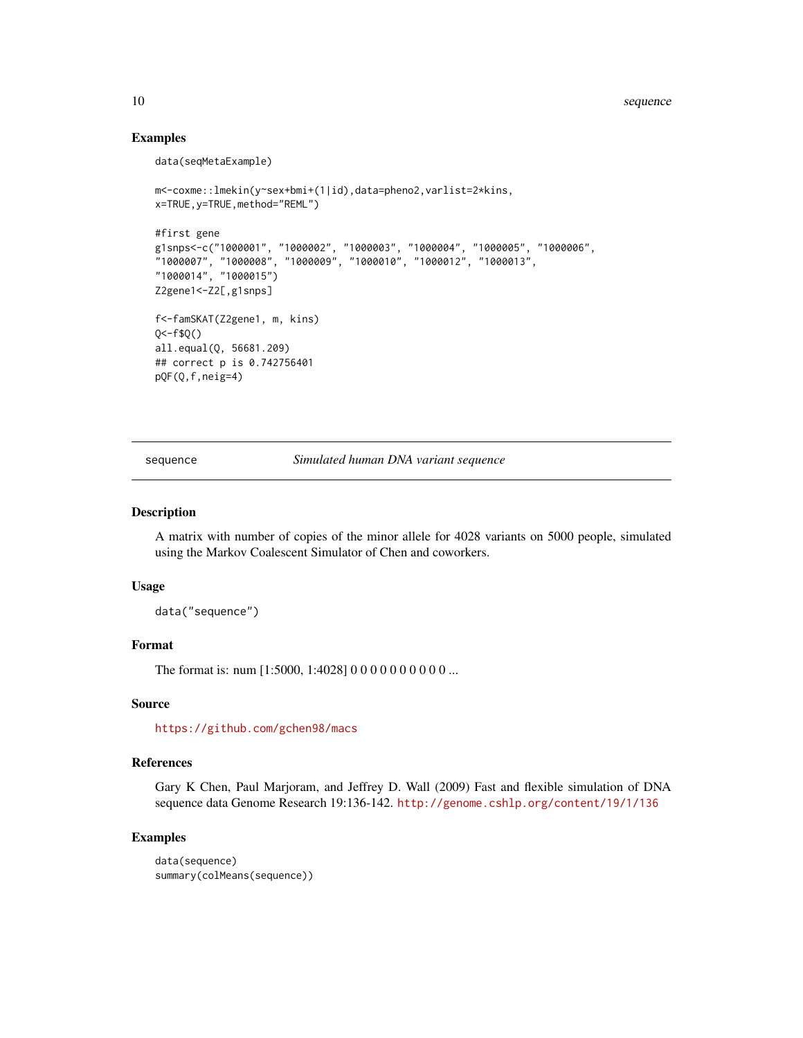## Examples

data(seqMetaExample)

```
m<-coxme::lmekin(y~sex+bmi+(1|id),data=pheno2,varlist=2*kins,
x=TRUE,y=TRUE,method="REML")
#first gene
g1snps<-c("1000001", "1000002", "1000003", "1000004", "1000005", "1000006",
"1000007", "1000008", "1000009", "1000010", "1000012", "1000013",
"1000014", "1000015")
Z2gene1<-Z2[,g1snps]
f<-famSKAT(Z2gene1, m, kins)
Q < -f$Q()
all.equal(Q, 56681.209)
## correct p is 0.742756401
pQF(Q,f,neig=4)
```
sequence *Simulated human DNA variant sequence*

#### Description

A matrix with number of copies of the minor allele for 4028 variants on 5000 people, simulated using the Markov Coalescent Simulator of Chen and coworkers.

#### Usage

data("sequence")

## Format

The format is: num [1:5000, 1:4028] 0 0 0 0 0 0 0 0 0 0 ...

#### Source

<https://github.com/gchen98/macs>

#### References

Gary K Chen, Paul Marjoram, and Jeffrey D. Wall (2009) Fast and flexible simulation of DNA sequence data Genome Research 19:136-142. <http://genome.cshlp.org/content/19/1/136>

## Examples

```
data(sequence)
summary(colMeans(sequence))
```
<span id="page-9-0"></span>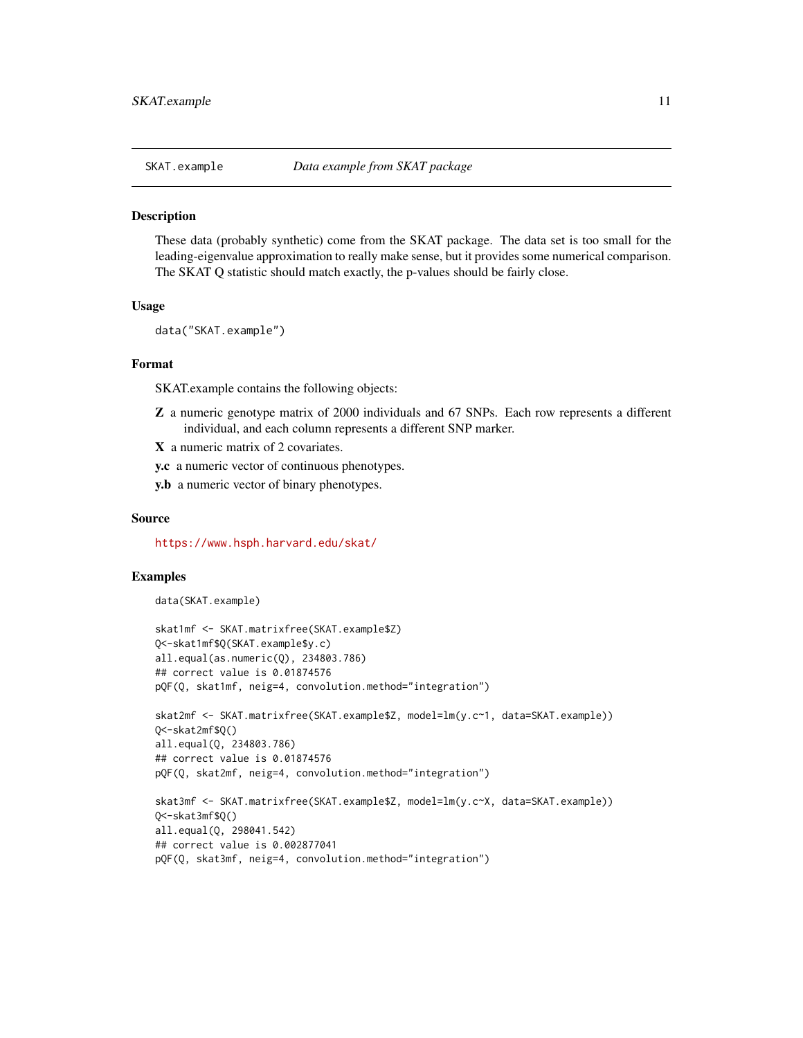<span id="page-10-0"></span>

These data (probably synthetic) come from the SKAT package. The data set is too small for the leading-eigenvalue approximation to really make sense, but it provides some numerical comparison. The SKAT Q statistic should match exactly, the p-values should be fairly close.

#### Usage

data("SKAT.example")

#### Format

SKAT.example contains the following objects:

- Z a numeric genotype matrix of 2000 individuals and 67 SNPs. Each row represents a different individual, and each column represents a different SNP marker.
- X a numeric matrix of 2 covariates.
- y.c a numeric vector of continuous phenotypes.
- y.b a numeric vector of binary phenotypes.

#### Source

<https://www.hsph.harvard.edu/skat/>

#### Examples

```
data(SKAT.example)
```

```
skat1mf <- SKAT.matrixfree(SKAT.example$Z)
Q<-skat1mf$Q(SKAT.example$y.c)
all.equal(as.numeric(Q), 234803.786)
## correct value is 0.01874576
pQF(Q, skat1mf, neig=4, convolution.method="integration")
skat2mf <- SKAT.matrixfree(SKAT.example$Z, model=lm(y.c~1, data=SKAT.example))
Q<-skat2mf$Q()
all.equal(Q, 234803.786)
## correct value is 0.01874576
pQF(Q, skat2mf, neig=4, convolution.method="integration")
skat3mf <- SKAT.matrixfree(SKAT.example$Z, model=lm(y.c~X, data=SKAT.example))
Q<-skat3mf$Q()
all.equal(Q, 298041.542)
## correct value is 0.002877041
pQF(Q, skat3mf, neig=4, convolution.method="integration")
```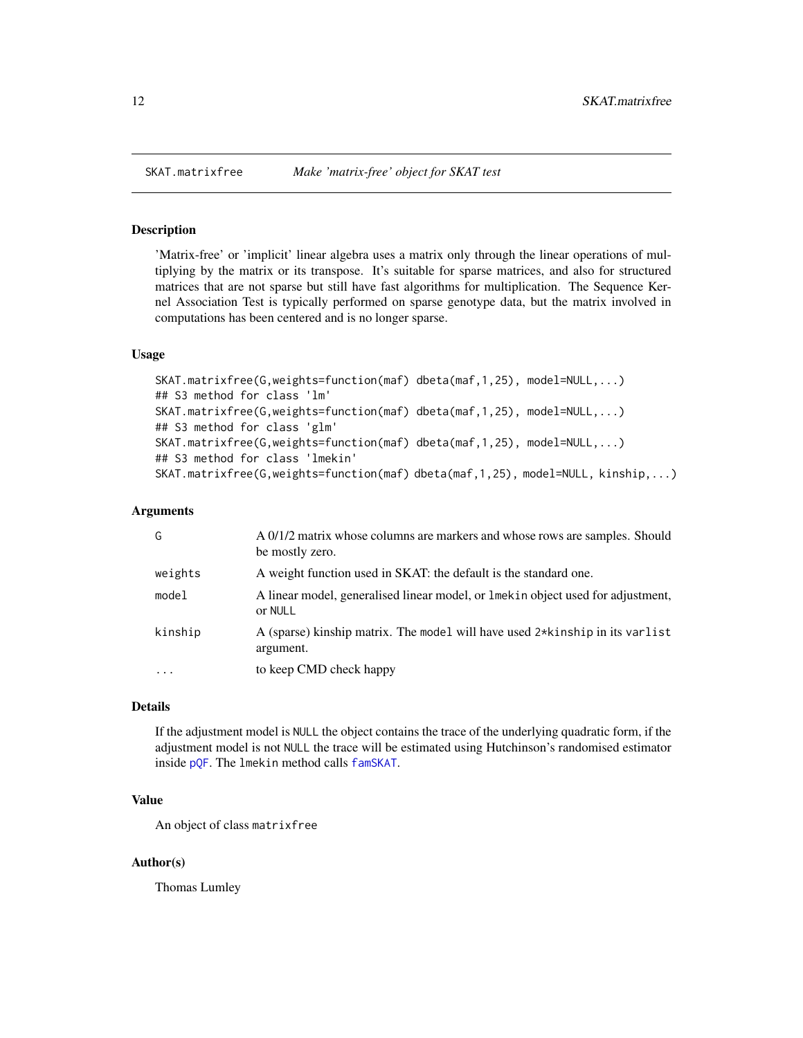<span id="page-11-1"></span><span id="page-11-0"></span>

'Matrix-free' or 'implicit' linear algebra uses a matrix only through the linear operations of multiplying by the matrix or its transpose. It's suitable for sparse matrices, and also for structured matrices that are not sparse but still have fast algorithms for multiplication. The Sequence Kernel Association Test is typically performed on sparse genotype data, but the matrix involved in computations has been centered and is no longer sparse.

#### Usage

```
SKAT.matrixfree(G,weights=function(maf) dbeta(maf,1,25), model=NULL,...)
## S3 method for class 'lm'
SKAT.matrixfree(G,weights=function(maf) dbeta(maf,1,25), model=NULL,...)
## S3 method for class 'glm'
SKAT.matrixfree(G,weights=function(maf) dbeta(maf,1,25), model=NULL,...)
## S3 method for class 'lmekin'
SKAT.matrixfree(G,weights=function(maf) dbeta(maf,1,25), model=NULL, kinship,...)
```
#### Arguments

| weights<br>A weight function used in SKAT: the default is the standard one.                             | A 0/1/2 matrix whose columns are markers and whose rows are samples. Should |
|---------------------------------------------------------------------------------------------------------|-----------------------------------------------------------------------------|
|                                                                                                         |                                                                             |
| model<br>A linear model, generalised linear model, or line k in object used for adjustment,<br>or NULL  |                                                                             |
| kinship<br>A (sparse) kinship matrix. The model will have used $2*$ kinship in its varlist<br>argument. |                                                                             |
| to keep CMD check happy<br>$\cdot$ $\cdot$ $\cdot$                                                      |                                                                             |

## Details

If the adjustment model is NULL the object contains the trace of the underlying quadratic form, if the adjustment model is not NULL the trace will be estimated using Hutchinson's randomised estimator inside [pQF](#page-4-1). The lmekin method calls [famSKAT](#page-2-1).

## Value

An object of class matrixfree

## Author(s)

Thomas Lumley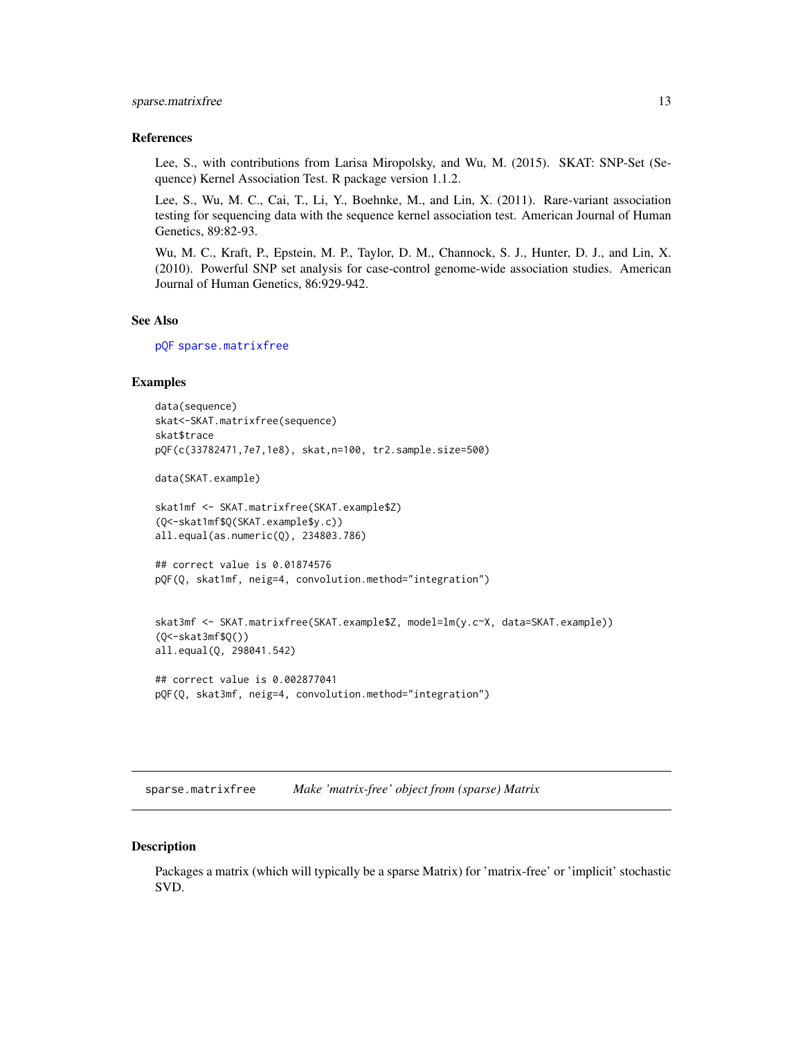## <span id="page-12-0"></span>sparse.matrixfree 13

#### References

Lee, S., with contributions from Larisa Miropolsky, and Wu, M. (2015). SKAT: SNP-Set (Sequence) Kernel Association Test. R package version 1.1.2.

Lee, S., Wu, M. C., Cai, T., Li, Y., Boehnke, M., and Lin, X. (2011). Rare-variant association testing for sequencing data with the sequence kernel association test. American Journal of Human Genetics, 89:82-93.

Wu, M. C., Kraft, P., Epstein, M. P., Taylor, D. M., Channock, S. J., Hunter, D. J., and Lin, X. (2010). Powerful SNP set analysis for case-control genome-wide association studies. American Journal of Human Genetics, 86:929-942.

#### See Also

[pQF](#page-4-1) [sparse.matrixfree](#page-12-1)

## Examples

```
data(sequence)
skat<-SKAT.matrixfree(sequence)
skat$trace
pQF(c(33782471,7e7,1e8), skat,n=100, tr2.sample.size=500)
data(SKAT.example)
skat1mf <- SKAT.matrixfree(SKAT.example$Z)
(Q<-skat1mf$Q(SKAT.example$y.c))
all.equal(as.numeric(Q), 234803.786)
## correct value is 0.01874576
pQF(Q, skat1mf, neig=4, convolution.method="integration")
skat3mf <- SKAT.matrixfree(SKAT.example$Z, model=lm(y.c~X, data=SKAT.example))
(Q<-skat3mf$Q())
all.equal(Q, 298041.542)
```

```
## correct value is 0.002877041
pQF(Q, skat3mf, neig=4, convolution.method="integration")
```
<span id="page-12-1"></span>sparse.matrixfree *Make 'matrix-free' object from (sparse) Matrix*

#### **Description**

Packages a matrix (which will typically be a sparse Matrix) for 'matrix-free' or 'implicit' stochastic SVD.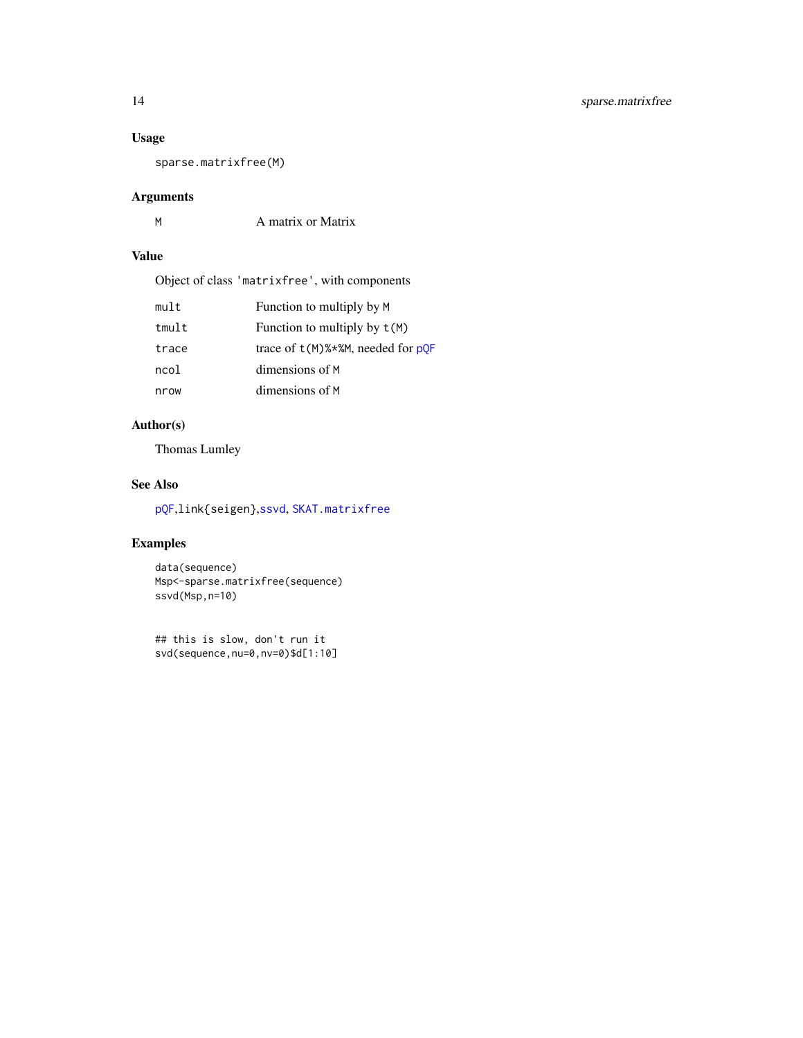## <span id="page-13-0"></span>Usage

sparse.matrixfree(M)

## Arguments

| A matrix or Matrix |
|--------------------|
|                    |

## Value

Object of class 'matrixfree', with components

| mult  | Function to multiply by M            |
|-------|--------------------------------------|
| tmult | Function to multiply by $t(M)$       |
| trace | trace of $t(M)$ %*%M, needed for pOF |
| ncol  | dimensions of M                      |
| nrow  | dimensions of M                      |

## Author(s)

Thomas Lumley

## See Also

[pQF](#page-4-1),link{seigen},[ssvd](#page-7-1), [SKAT.matrixfree](#page-11-1)

## Examples

data(sequence) Msp<-sparse.matrixfree(sequence) ssvd(Msp,n=10)

## this is slow, don't run it svd(sequence,nu=0,nv=0)\$d[1:10]